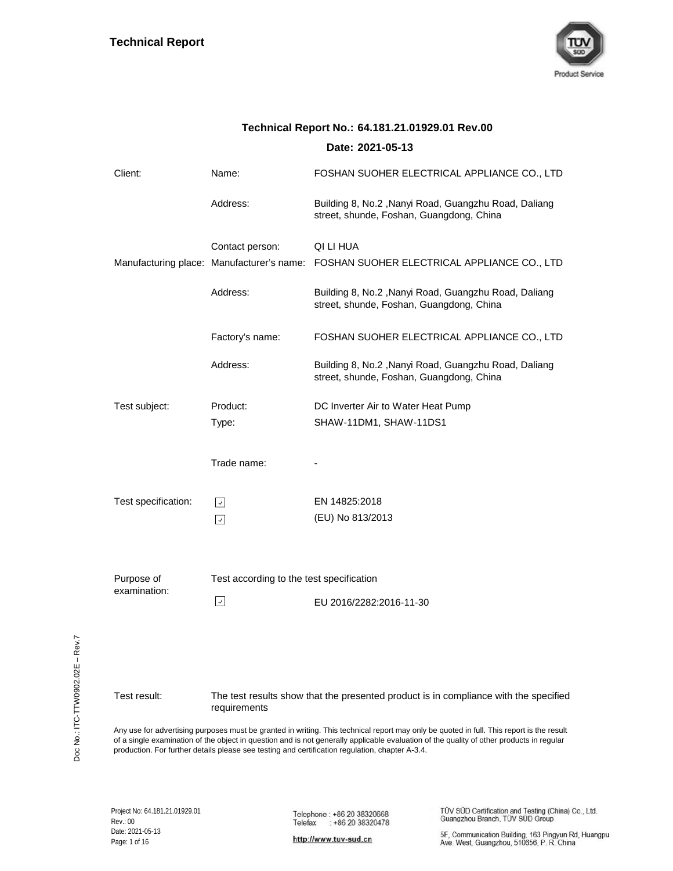

|                            |                                          | Date: 2021-05-13                                                                                 |
|----------------------------|------------------------------------------|--------------------------------------------------------------------------------------------------|
| Client:                    | Name:                                    | FOSHAN SUOHER ELECTRICAL APPLIANCE CO., LTD                                                      |
|                            | Address:                                 | Building 8, No.2, Nanyi Road, Guangzhu Road, Daliang<br>street, shunde, Foshan, Guangdong, China |
|                            | Contact person:                          | QI LI HUA                                                                                        |
|                            |                                          | Manufacturing place: Manufacturer's name: FOSHAN SUOHER ELECTRICAL APPLIANCE CO., LTD            |
|                            | Address:                                 | Building 8, No.2, Nanyi Road, Guangzhu Road, Daliang<br>street, shunde, Foshan, Guangdong, China |
|                            | Factory's name:                          | FOSHAN SUOHER ELECTRICAL APPLIANCE CO., LTD                                                      |
|                            | Address:                                 | Building 8, No.2, Nanyi Road, Guangzhu Road, Daliang<br>street, shunde, Foshan, Guangdong, China |
| Test subject:              | Product:                                 | DC Inverter Air to Water Heat Pump                                                               |
|                            | Type:                                    | SHAW-11DM1, SHAW-11DS1                                                                           |
|                            | Trade name:                              |                                                                                                  |
| Test specification:        | $\vert \downarrow \vert$                 | EN 14825:2018                                                                                    |
|                            | $\sqrt{2}$                               | (EU) No 813/2013                                                                                 |
|                            |                                          |                                                                                                  |
| Purpose of<br>examination: | Test according to the test specification |                                                                                                  |
|                            | $\vert \downarrow \vert$                 | EU 2016/2282:2016-11-30                                                                          |
|                            |                                          |                                                                                                  |
| Test result:               | requirements                             | The test results show that the presented product is in compliance with the specified             |

# **Technical Report No.: 64.181.21.01929.01 Rev.00**

Any use for advertising purposes must be granted in writing. This technical report may only be quoted in full. This report is the result of a single examination of the object in question and is not generally applicable evaluation of the quality of other products in regular production. For further details please see testing and certification regulation, chapter A-3.4.

TÜV SÜD Certification and Testing (China) Co., Ltd.<br>Guangzhou Branch, TÜV SÜD Group

http://www.tuv-sud.cn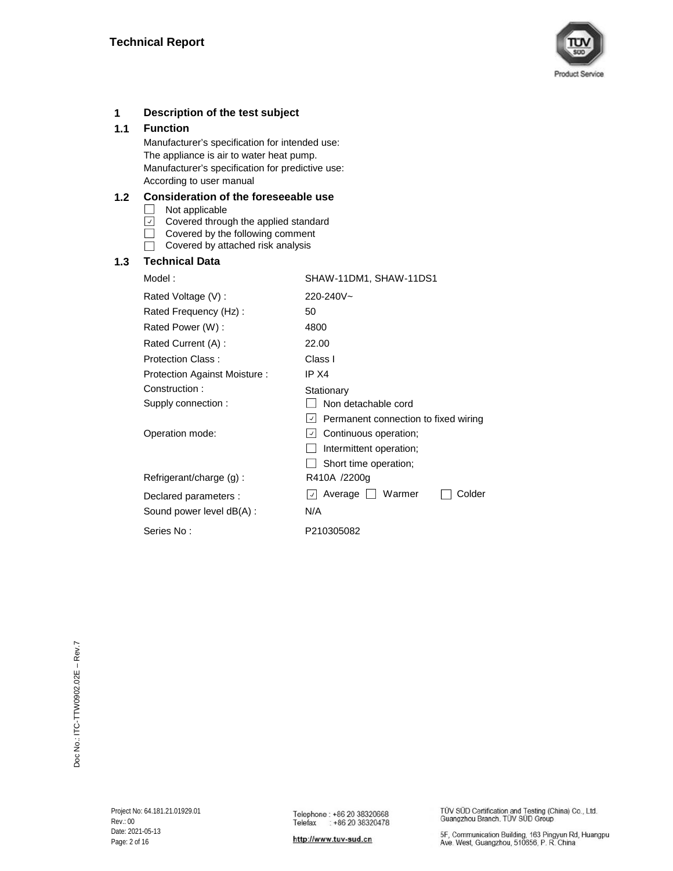

### **1 Description of the test subject**

### **1.1 Function**

Manufacturer's specification for intended use: Manufacturer's specification for predictive use: According to user manual The appliance is air to water heat pump.

### **1.2 Consideration of the foreseeable use**

 $\Box$  Not applicable

- $\Box$  Covered through the applied standard
- $\Box$ Covered by the following comment
- $\Box$  Covered by attached risk analysis

### **1.3 Technical Data**

 $\Box$  Non detachable cord  $\vert$  Permanent connection to fixed wiring Operation mode:  $\Box$  Continuous operation;  $\Box$  Intermittent operation;  $\Box$  Short time operation; Rated Power (W) : Rated Current (A) : 22.00 Class I Protection Against Moisture : Rated Voltage (V) : **Stationary** Protection Class : SHAW-11DM1, SHAW-11DS1 R410A /2200g  $\Box$  Colder IP X4 Model : 4800 Sound power level dB(A) : N/A Declared parameters : Refrigerant/charge (g) : Average Warmer 220-240V~ 50 Construction : Supply connection : Rated Frequency (Hz) : Series No : P210305082

http://www.tuv-sud.cn

TÜV SÜD Certification and Testing (China) Co., Ltd. Guangzhou Branch, TÜV SÜD Group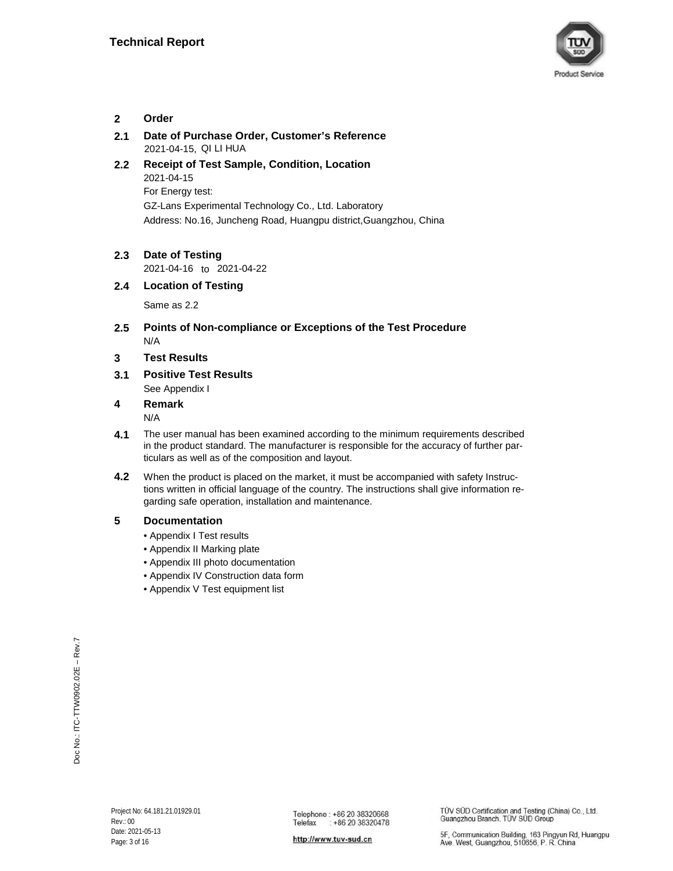

### **2 Order**

- **2.1 Date of Purchase Order, Customer's Reference** 2021-04-15, QI LI HUA
- **2.2** 2021-04-15 Address: No.16, Juncheng Road, Huangpu district,Guangzhou, China **Receipt of Test Sample, Condition, Location** GZ-Lans Experimental Technology Co., Ltd. Laboratory For Energy test:
- **2.3 Date of Testing**

to 2021-04-16 2021-04-22

### **2.4 Location of Testing**

Same as 2.2

- **2.5 Points of Non-compliance or Exceptions of the Test Procedure** N/A
- **3 Test Results**
- **3.1** See Appendix I **Positive Test Results**

### **4 Remark**

N/A

- **4.1** The user manual has been examined according to the minimum requirements described in the product standard. The manufacturer is responsible for the accuracy of further particulars as well as of the composition and layout.
- **4.2** When the product is placed on the market, it must be accompanied with safety Instructions written in official language of the country. The instructions shall give information regarding safe operation, installation and maintenance.

### **5 Documentation**

- Appendix I Test results
- Appendix II Marking plate
- Appendix III photo documentation
- Appendix IV Construction data form
- Appendix V Test equipment list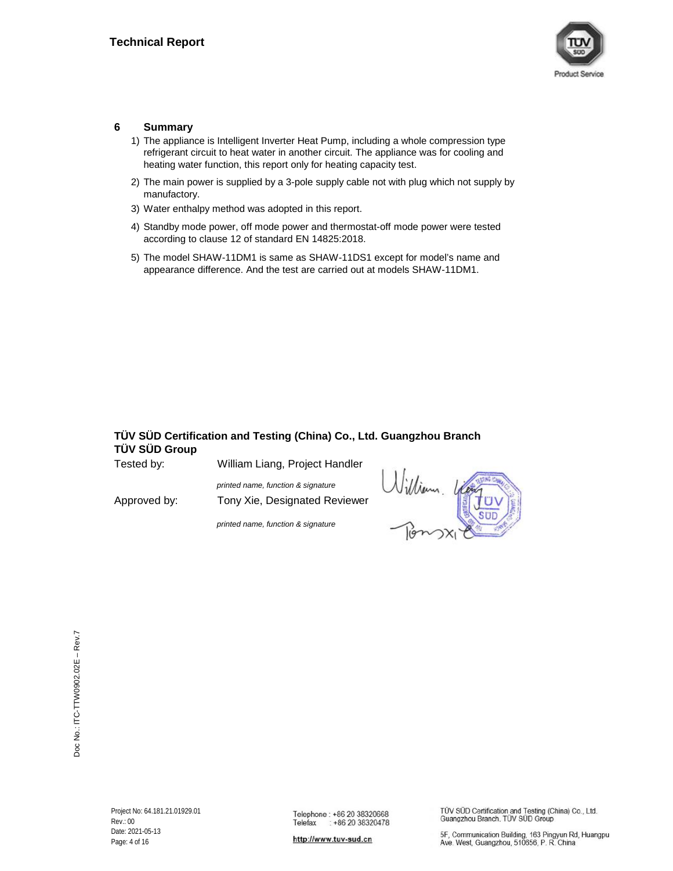

### **6 Summary**

- 1) The appliance is Intelligent Inverter Heat Pump, including a whole compression type refrigerant circuit to heat water in another circuit. The appliance was for cooling and heating water function, this report only for heating capacity test.
- 2) The main power is supplied by a 3-pole supply cable not with plug which not supply by manufactory.
- 3) Water enthalpy method was adopted in this report.
- 4) Standby mode power, off mode power and thermostat-off mode power were tested according to clause 12 of standard EN 14825:2018.
- 5) The model SHAW-11DM1 is same as SHAW-11DS1 except for model's name and appearance difference. And the test are carried out at models SHAW-11DM1.

# **TÜV SÜD Certification and Testing (China) Co., Ltd. Guangzhou Branch TÜV SÜD Group**

| Tested by:   | William Liang, Project Handler     |                 |
|--------------|------------------------------------|-----------------|
|              | printed name, function & signature | William.<br>Ver |
| Approved by: | Tony Xie, Designated Reviewer      | $\frac{1}{2}$   |

*printed name, function & signature*



http://www.tuv-sud.cn

TÜV SÜD Certification and Testing (China) Co., Ltd. Guangzhou Branch, TÜV SÜD Group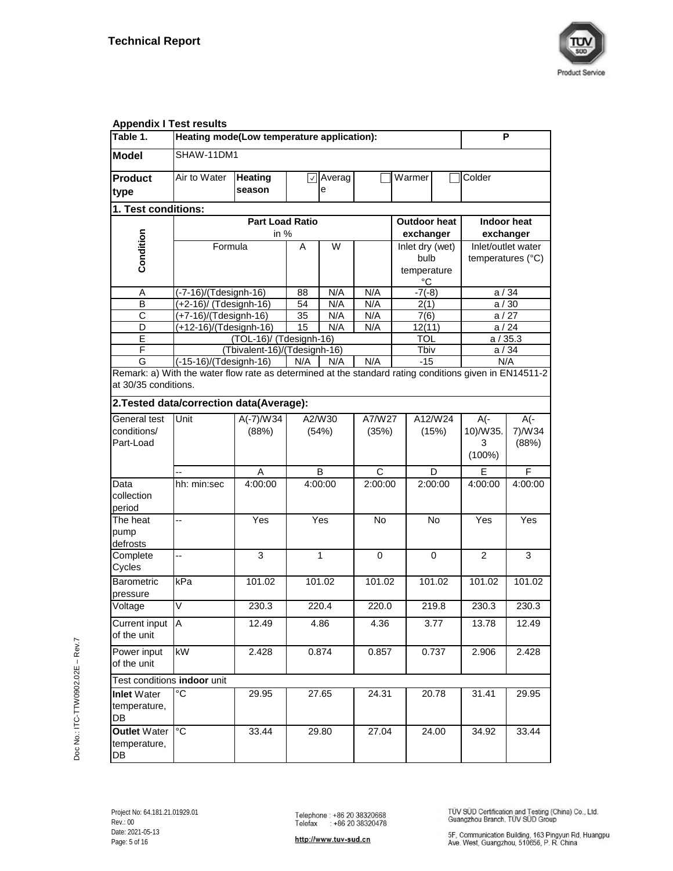

| <b>Appendix I Test results</b>            |                                                                                                        |                                                                      |       |                        |              |        |                   |                            |                                 |
|-------------------------------------------|--------------------------------------------------------------------------------------------------------|----------------------------------------------------------------------|-------|------------------------|--------------|--------|-------------------|----------------------------|---------------------------------|
| Table 1.                                  | Heating mode(Low temperature application):                                                             |                                                                      |       |                        |              |        |                   |                            | P                               |
| <b>Model</b>                              | SHAW-11DM1                                                                                             |                                                                      |       |                        |              |        |                   |                            |                                 |
| <b>Product</b>                            | Air to Water                                                                                           | <b>Heating</b><br>season                                             |       | $\sqrt{ }$ Averag<br>е |              | Warmer |                   | Colder                     |                                 |
| type                                      |                                                                                                        |                                                                      |       |                        |              |        |                   |                            |                                 |
| 1. Test conditions:                       |                                                                                                        |                                                                      |       |                        |              |        |                   |                            |                                 |
|                                           |                                                                                                        | <b>Part Load Ratio</b><br><b>Outdoor heat</b><br>in $%$<br>exchanger |       |                        |              |        |                   |                            | <b>Indoor heat</b><br>exchanger |
| Condition                                 | Formula                                                                                                |                                                                      | A     | W                      |              |        | Inlet dry (wet)   |                            | Inlet/outlet water              |
|                                           |                                                                                                        |                                                                      |       |                        |              |        | bulb              | temperatures (°C)          |                                 |
|                                           |                                                                                                        |                                                                      |       |                        |              |        | temperature<br>°C |                            |                                 |
| Α                                         | (-7-16)/(Tdesignh-16)                                                                                  |                                                                      | 88    | N/A                    | N/A          |        | $-7(-8)$          |                            | a/34                            |
| $\overline{\mathsf{B}}$                   | (+2-16)/ (Tdesignh-16)                                                                                 |                                                                      | 54    | N/A                    | N/A          |        | 2(1)              |                            | a/30                            |
| С                                         | (+7-16)/(Tdesignh-16)                                                                                  |                                                                      | 35    | N/A                    | N/A          |        | 7(6)              |                            | a/27                            |
| D<br>Ē                                    | (+12-16)/(Tdesignh-16)                                                                                 | (TOL-16)/ (Tdesignh-16)                                              | 15    | N/A                    | N/A          |        | 12(11)<br>TOL     |                            | a/24<br>a / 35.3                |
| F                                         |                                                                                                        | (Tbivalent-16)/(Tdesignh-16)                                         |       |                        |              |        | Tbiv              |                            | a/34                            |
| G                                         | (-15-16)/(Tdesignh-16)                                                                                 |                                                                      | N/A   | N/A                    | N/A          |        | $-15$             |                            | N/A                             |
| at 30/35 conditions.                      | Remark: a) With the water flow rate as determined at the standard rating conditions given in EN14511-2 |                                                                      |       |                        |              |        |                   |                            |                                 |
|                                           | 2. Tested data/correction data(Average):                                                               |                                                                      |       |                        |              |        |                   |                            |                                 |
| General test                              | Unit                                                                                                   | $A(-7)/W34$                                                          |       | A2/W30                 | A7/W27       |        | A12/W24           | A(-                        | A(-                             |
| conditions/<br>Part-Load                  |                                                                                                        | (88%)                                                                |       | (54%)                  | (35%)        |        | (15%)             | 10)/W35.<br>3<br>$(100\%)$ | 7)/W34<br>(88%)                 |
|                                           |                                                                                                        | A                                                                    |       | B                      | $\mathsf{C}$ |        | D                 | E                          | F                               |
| Data<br>collection<br>period              | hh: min:sec                                                                                            | 4:00:00                                                              |       | 4:00:00                | 2:00:00      |        | 2:00:00           | 4:00:00                    | 4:00:00                         |
| The heat<br>pump<br>defrosts              | --                                                                                                     | Yes                                                                  |       | Yes                    | No.          |        | No                | Yes                        | Yes                             |
| Complete<br>Cycles                        | -−                                                                                                     | 3                                                                    |       | 1                      | 0            |        | $\Omega$          | 2                          | 3                               |
| <b>Barometric</b><br>pressure             | kPa                                                                                                    | 101.02                                                               |       | 101.02                 | 101.02       |        | 101.02            | 101.02                     | 101.02                          |
| Voltage                                   | $\overline{\mathsf{V}}$                                                                                | 230.3                                                                |       | 220.4                  | 220.0        |        | 219.8             | 230.3                      | 230.3                           |
| Current input<br>of the unit              | A                                                                                                      | 12.49                                                                | 4.86  |                        | 4.36         |        | 3.77              | 13.78                      | 12.49                           |
| Power input<br>of the unit                | kW                                                                                                     | 2.428                                                                | 0.874 |                        | 0.857        |        | 0.737             | 2.906                      | 2.428                           |
| Test conditions indoor unit               |                                                                                                        |                                                                      |       |                        |              |        |                   |                            |                                 |
| <b>Inlet Water</b><br>temperature,<br>DB  | °C                                                                                                     | 29.95                                                                |       | 27.65                  | 24.31        |        | 20.78             | 31.41                      | 29.95                           |
| <b>Outlet Water</b><br>temperature,<br>DB | °C                                                                                                     | 33.44                                                                |       | 29.80                  | 27.04        |        | 24.00             | 34.92                      | 33.44                           |

TÜV SÜD Certification and Testing (China) Co., Ltd.<br>Guangzhou Branch, TÜV SÜD Group

http://www.tuv-sud.cn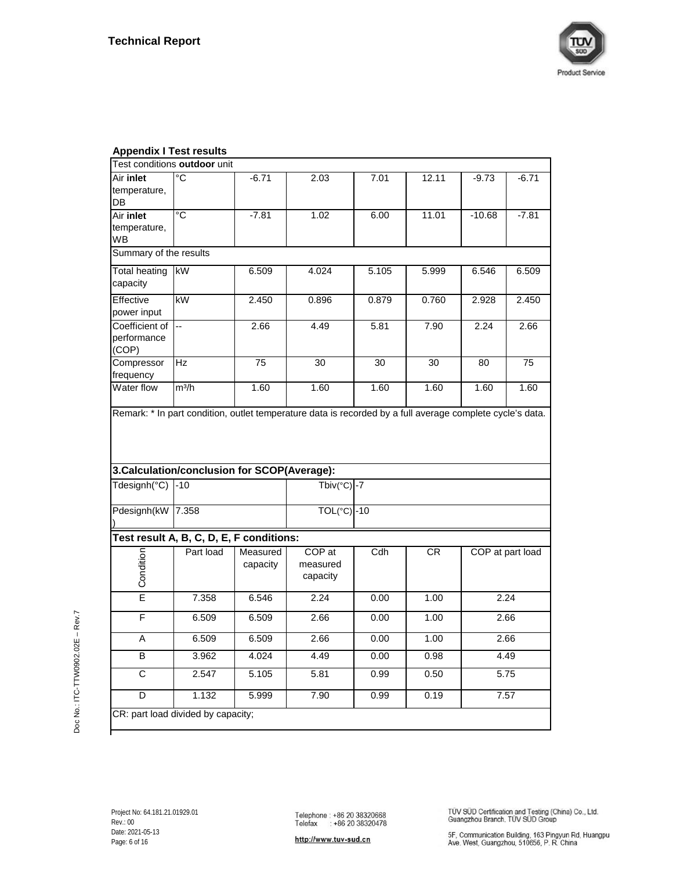

| <b>Appendix I Test results</b>         |                                              |                      |                                |       |       |          |                  |
|----------------------------------------|----------------------------------------------|----------------------|--------------------------------|-------|-------|----------|------------------|
|                                        | Test conditions outdoor unit                 |                      |                                |       |       |          |                  |
| Air inlet<br>temperature,              | $\overline{C}$                               | $-6.71$              | 2.03                           | 7.01  | 12.11 | $-9.73$  | $-6.71$          |
| DB                                     |                                              |                      |                                |       |       |          |                  |
| Air inlet<br>temperature,<br>WВ        | °C                                           | $-7.81$              | 1.02                           | 6.00  | 11.01 | $-10.68$ | $-7.81$          |
| Summary of the results                 |                                              |                      |                                |       |       |          |                  |
| <b>Total heating</b><br>capacity       | kW                                           | 6.509                | 4.024                          | 5.105 | 5.999 | 6.546    | 6.509            |
| Effective<br>power input               | kW                                           | 2.450                | 0.896                          | 0.879 | 0.760 | 2.928    | 2.450            |
| Coefficient of<br>performance<br>(COP) | Ξ.                                           | 2.66                 | 4.49                           | 5.81  | 7.90  | 2.24     | 2.66             |
| Compressor<br>frequency                | Hz                                           | 75                   | 30                             | 30    | 30    | 80       | 75               |
| Water flow                             | $m^3/h$                                      | 1.60                 | 1.60                           | 1.60  | 1.60  | 1.60     | 1.60             |
|                                        | 3. Calculation/conclusion for SCOP(Average): |                      |                                |       |       |          |                  |
| Tdesignh(°C)                           | $-10$                                        |                      | Tbiv( $°C$ ) -7                |       |       |          |                  |
| Pdesignh(kW                            | 7.358                                        |                      | TOL(°C) -10                    |       |       |          |                  |
|                                        | Test result A, B, C, D, E, F conditions:     |                      |                                |       |       |          |                  |
| Condition                              | Part load                                    | Measured<br>capacity | COP at<br>measured<br>capacity | Cdh   | CR    |          | COP at part load |
| Έ                                      | 7.358                                        | 6.546                | 2.24                           | 0.00  | 1.00  |          | 2.24             |
| F                                      | 6.509                                        | 6.509                | 2.66                           | 0.00  | 1.00  |          | 2.66             |
| Α                                      | 6.509                                        | 6.509                | 2.66                           | 0.00  | 1.00  |          | 2.66             |
| B                                      | 3.962                                        | 4.024                | 4.49                           | 0.00  | 0.98  |          | 4.49             |
| $\overline{\mathsf{C}}$                | 2.547                                        | 5.105                | 5.81                           | 0.99  | 0.50  |          | 5.75             |
| D                                      | 1.132                                        | 5.999                | 7.90                           | 0.99  | 0.19  |          | 7.57             |
|                                        | CR: part load divided by capacity;           |                      |                                |       |       |          |                  |

http://www.tuv-sud.cn

TÜV SÜD Certification and Testing (China) Co., Ltd.<br>Guangzhou Branch, TÜV SÜD Group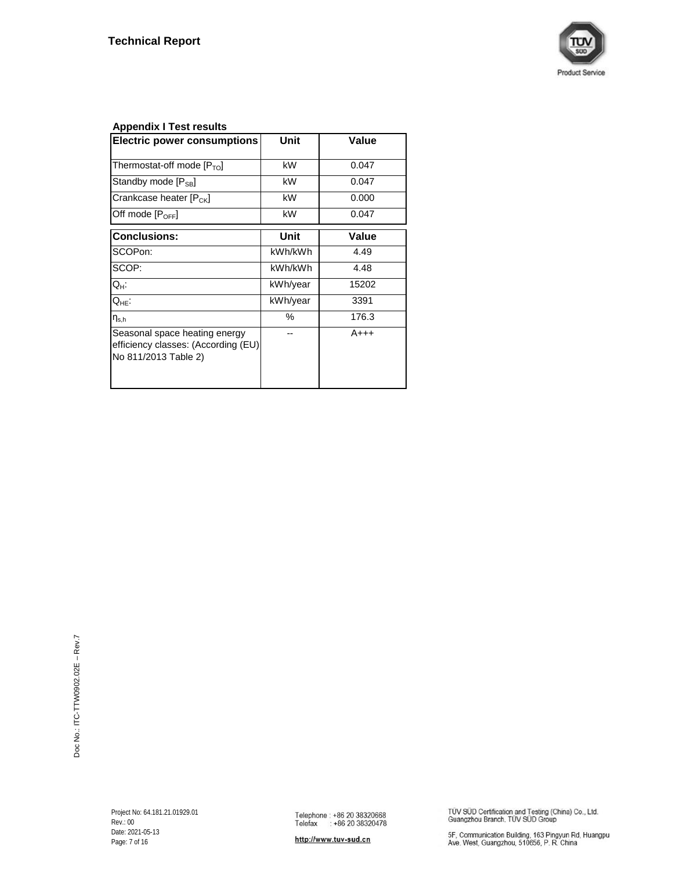

# **Appendix I Test results**

| <b>Electric power consumptions</b>                                                           | Unit     | Value  |
|----------------------------------------------------------------------------------------------|----------|--------|
| Thermostat-off mode $[P_{\text{TO}}]$                                                        | kW       | 0.047  |
| Standby mode $[P_{\text{SB}}]$                                                               | kW       | 0.047  |
| Crankcase heater [P <sub>CK</sub> ]                                                          | kW       | 0.000  |
| Off mode [P <sub>OFF</sub> ]                                                                 | kW       | 0.047  |
| <b>Conclusions:</b>                                                                          | Unit     | Value  |
| SCOPon:                                                                                      | kWh/kWh  | 4.49   |
| SCOP:                                                                                        | kWh/kWh  | 4.48   |
| Q <sub>H</sub> :                                                                             | kWh/year | 15202  |
| $Q_{HE}$ :                                                                                   | kWh/year | 3391   |
| $\eta_{\text{s.h}}$                                                                          | %        | 176.3  |
| Seasonal space heating energy<br>efficiency classes: (According (EU)<br>No 811/2013 Table 2) |          | $A+++$ |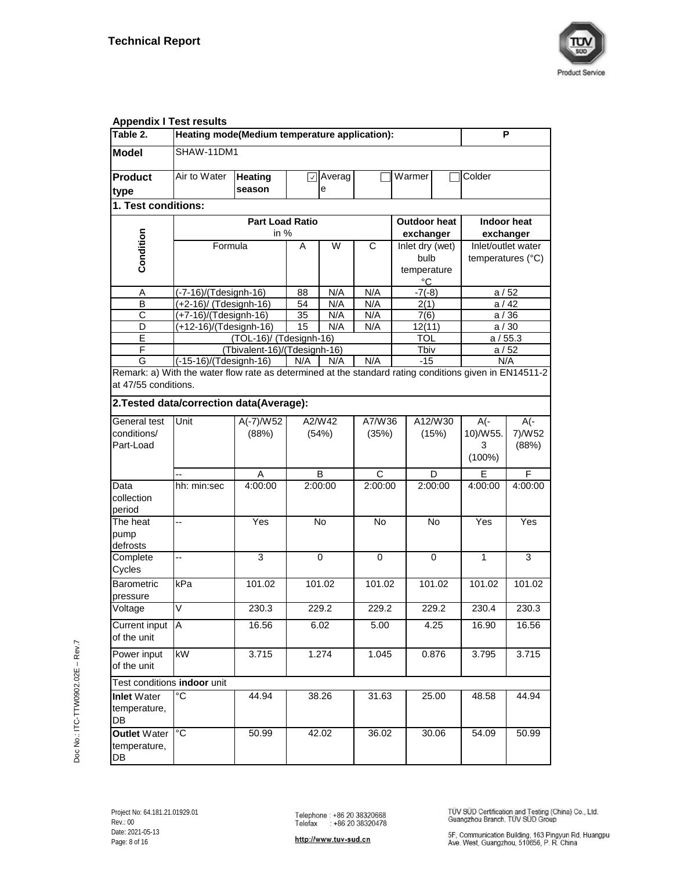

| <b>Appendix I Test results</b>            |                                                                                                        |                                               |                 |             |              |                |                |                 |              |                                         |
|-------------------------------------------|--------------------------------------------------------------------------------------------------------|-----------------------------------------------|-----------------|-------------|--------------|----------------|----------------|-----------------|--------------|-----------------------------------------|
| Table 2.                                  | Heating mode(Medium temperature application):                                                          |                                               |                 |             |              |                |                |                 |              | P                                       |
| <b>Model</b>                              | SHAW-11DM1                                                                                             |                                               |                 |             |              |                |                |                 |              |                                         |
| <b>Product</b>                            | Air to Water                                                                                           | <b>Heating</b>                                | $\vert$ $\vert$ | Averag      |              |                | Warmer         |                 | Colder       |                                         |
| type                                      |                                                                                                        | season                                        |                 | е           |              |                |                |                 |              |                                         |
| 1. Test conditions:                       |                                                                                                        |                                               |                 |             |              |                |                |                 |              |                                         |
|                                           |                                                                                                        | <b>Part Load Ratio</b><br><b>Outdoor heat</b> |                 |             |              |                |                |                 |              | Indoor heat                             |
| Condition                                 |                                                                                                        | in $%$                                        |                 | W           | C            |                | exchanger      |                 |              | exchanger                               |
|                                           | Formula                                                                                                |                                               | A               |             |              |                | bulb           | Inlet dry (wet) |              | Inlet/outlet water<br>temperatures (°C) |
|                                           |                                                                                                        |                                               |                 |             |              |                | °C             | temperature     |              |                                         |
| Α                                         | (-7-16)/(Tdesignh-16)                                                                                  |                                               | 88              | N/A         | N/A          |                | $-7(-8)$       |                 |              | a/52                                    |
| B<br>$\overline{\text{c}}$                | (+2-16)/ (Tdesignh-16)                                                                                 |                                               | 54              | N/A         | N/A          |                | 2(1)           |                 |              | a/42                                    |
| $\overline{D}$                            | (+7-16)/(Tdesignh-16)<br>(+12-16)/(Tdesignh-16)                                                        |                                               | 35<br>15        | N/A<br>N/A  | N/A<br>N/A   |                | 7(6)<br>12(11) |                 |              | a/36<br>a/30                            |
| Ē                                         |                                                                                                        | (TOL-16)/ (Tdesignh-16)                       |                 |             |              |                | <b>TOL</b>     |                 |              | a/55.3                                  |
| F                                         |                                                                                                        | (Tbivalent-16)/(Tdesignh-16)                  |                 |             |              |                | Tbiv           |                 |              | a/52                                    |
| G                                         | $\sqrt{(-15-16)/(T}$ designh-16)                                                                       |                                               | N/A             | N/A         | N/A          |                | $-15$          |                 |              | N/A                                     |
| at 47/55 conditions.                      | Remark: a) With the water flow rate as determined at the standard rating conditions given in EN14511-2 |                                               |                 |             |              |                |                |                 |              |                                         |
|                                           | 2. Tested data/correction data(Average):                                                               |                                               |                 |             |              |                |                |                 |              |                                         |
| General test                              | Unit                                                                                                   | $A(-7)/W52$                                   |                 | A2/W42      | A7/W36       |                |                | A12/W30         | A(-          | $A(-)$                                  |
| conditions/                               |                                                                                                        | (88%)                                         |                 | (54%)       | (35%)        |                |                | (15%)           | 10)/W55.     | 7)/W52                                  |
| Part-Load                                 |                                                                                                        |                                               |                 |             |              |                |                |                 | 3<br>(100%)  | (88%)                                   |
|                                           |                                                                                                        | Α                                             |                 | В           | C            |                |                | D               | E            | F                                       |
| Data<br>collection<br>period              | hh: min:sec                                                                                            | 4:00:00                                       |                 | 2:00:00     | 2:00:00      |                |                | 2:00:00         | 4:00:00      | 4:00:00                                 |
| The heat                                  | --                                                                                                     | Yes                                           |                 | <b>No</b>   | No           |                |                | No              | Yes          | Yes                                     |
| pump<br>defrosts                          |                                                                                                        |                                               |                 |             |              |                |                |                 |              |                                         |
| Complete<br>Cycles                        | ÷,                                                                                                     | 3                                             |                 | $\mathbf 0$ | 0            |                |                | $\Omega$        | $\mathbf{1}$ | 3                                       |
| Barometric<br>pressure                    | kPa                                                                                                    | 101.02                                        |                 | 101.02      | 101.02       |                |                | 101.02          | 101.02       | 101.02                                  |
| Voltage                                   | $\overline{\mathsf{V}}$                                                                                | 230.3                                         |                 | 229.2       | 229.2        |                |                | 229.2           | 230.4        | 230.3                                   |
| Current input<br>of the unit              | Α                                                                                                      | 16.56                                         | 6.02            |             | 5.00<br>4.25 |                |                | 16.90           | 16.56        |                                         |
| Power input<br>of the unit                | kW                                                                                                     | 3.715                                         | 1.274           |             |              | 0.876<br>1.045 |                |                 | 3.795        | 3.715                                   |
| Test conditions indoor unit               |                                                                                                        |                                               |                 |             |              |                |                |                 |              |                                         |
| <b>Inlet Water</b><br>temperature,<br>DB  | °C                                                                                                     | 44.94                                         |                 | 38.26       | 31.63        |                |                | 25.00           | 48.58        | 44.94                                   |
| <b>Outlet Water</b><br>temperature,<br>DB | $^{\circ}C$                                                                                            | 50.99                                         |                 | 42.02       | 36.02        |                |                | 30.06           | 54.09        | 50.99                                   |

# Doc No.: ITC-TTW0902.02E - Rev.7 Doc No.: ITC-TTW0902.02E – Rev.7

TÜV SÜD Certification and Testing (China) Co., Ltd.<br>Guangzhou Branch, TÜV SÜD Group

http://www.tuv-sud.cn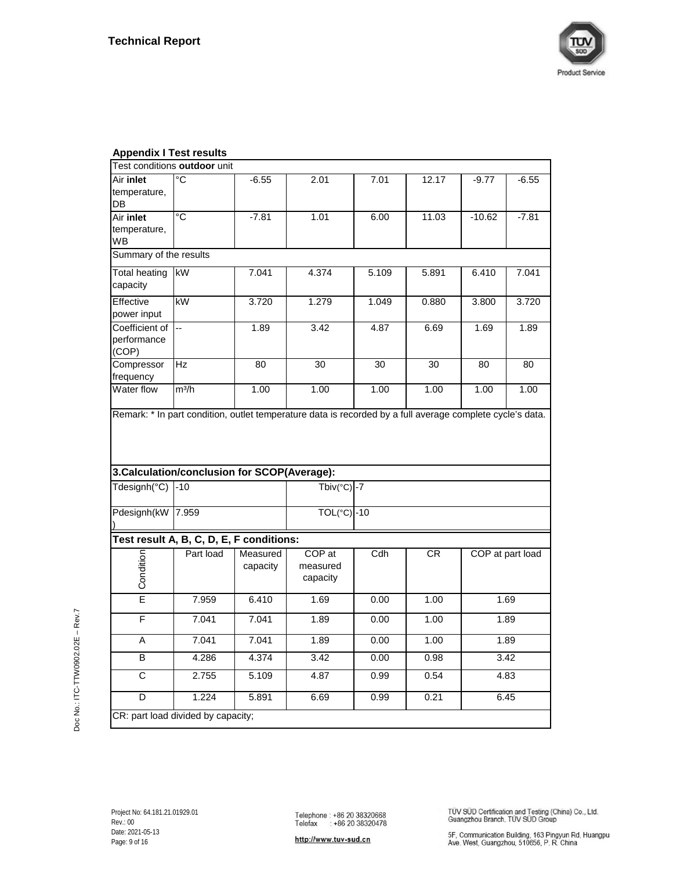

| Appenaix i Test resuits                |                                              |                      |                                |       |       |          |                  |
|----------------------------------------|----------------------------------------------|----------------------|--------------------------------|-------|-------|----------|------------------|
|                                        | Test conditions outdoor unit                 |                      |                                |       |       |          |                  |
| Air inlet<br>temperature,<br>DB        | ី                                            | $-6.55$              | 2.01                           | 7.01  | 12.17 | $-9.77$  | $-6.55$          |
| Air inlet<br>temperature,<br><b>WB</b> | $\overline{C}$                               | $-7.81$              | 1.01                           | 6.00  | 11.03 | $-10.62$ | $-7.81$          |
| Summary of the results                 |                                              |                      |                                |       |       |          |                  |
| <b>Total heating</b><br>capacity       | kW                                           | 7.041                | 4.374                          | 5.109 | 5.891 | 6.410    | 7.041            |
| Effective<br>power input               | kW                                           | 3.720                | 1.279                          | 1.049 | 0.880 | 3.800    | 3.720            |
| Coefficient of<br>performance<br>(COP) | u.                                           | 1.89                 | 3.42                           | 4.87  | 6.69  | 1.69     | 1.89             |
| Compressor<br>frequency                | Hz                                           | 80                   | 30                             | 30    | 30    | 80       | 80               |
| Water flow                             | $m^3/h$                                      | 1.00                 | 1.00                           | 1.00  | 1.00  | 1.00     | 1.00             |
|                                        | 3. Calculation/conclusion for SCOP(Average): |                      |                                |       |       |          |                  |
|                                        |                                              |                      | Tbiv( $°C$ ) -7                |       |       |          |                  |
| Tdesignh(°C)                           | $-10$                                        |                      |                                |       |       |          |                  |
| Pdesignh(kW 7.959                      |                                              |                      | $TOL(^{\circ}C)$ -10           |       |       |          |                  |
|                                        | Test result A, B, C, D, E, F conditions:     |                      |                                |       |       |          |                  |
| Condition                              | Part load                                    | Measured<br>capacity | COP at<br>measured<br>capacity | Cdh   | CR    |          | COP at part load |
| Ē                                      | 7.959                                        | 6.410                | 1.69                           | 0.00  | 1.00  |          | 1.69             |
| F                                      | 7.041                                        | 7.041                | 1.89                           | 0.00  | 1.00  |          | 1.89             |
| Α                                      | 7.041                                        | 7.041                | 1.89                           | 0.00  | 1.00  |          | 1.89             |
| B                                      | 4.286                                        | 4.374                | 3.42                           | 0.00  | 0.98  |          | 3.42             |
| $\overline{\mathsf{c}}$                | 2.755                                        | 5.109                | 4.87                           | 0.99  | 0.54  |          | 4.83             |
| D                                      | 1.224                                        | 5.891                | 6.69                           | 0.99  | 0.21  |          | 6.45             |
| CR: part load divided by capacity;     |                                              |                      |                                |       |       |          |                  |

# **Appendix I Test results**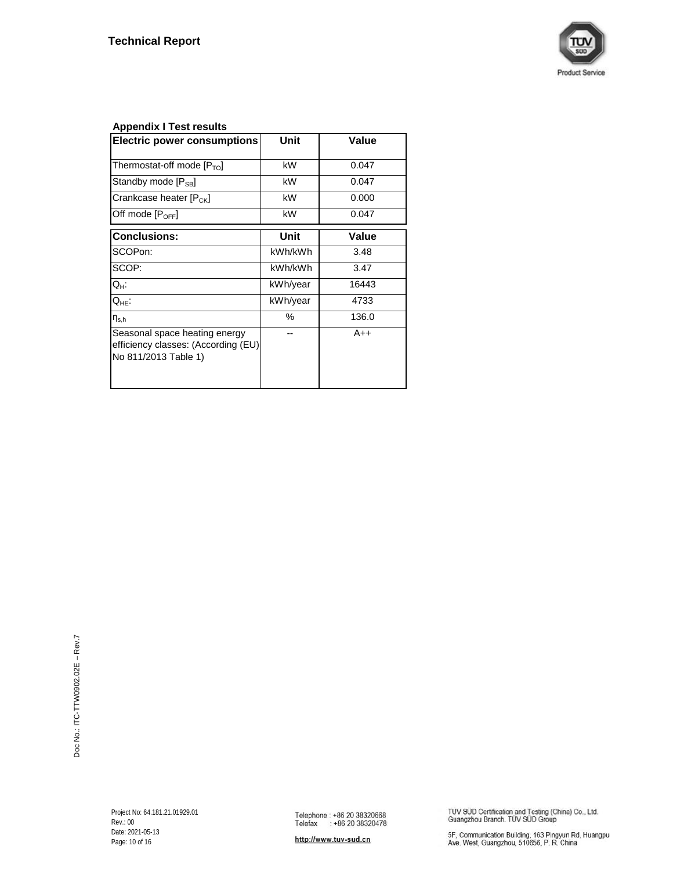

# **Appendix I Test results**

| <b>Electric power consumptions</b>                                                           | Unit     | Value |
|----------------------------------------------------------------------------------------------|----------|-------|
| Thermostat-off mode $[PTO]$                                                                  | kW       | 0.047 |
| Standby mode $[P_{\text{SB}}]$                                                               | kW       | 0.047 |
| Crankcase heater [P <sub>CK</sub> ]                                                          | kW       | 0.000 |
| Off mode [P <sub>OFF</sub> ]                                                                 | kW       | 0.047 |
| <b>Conclusions:</b>                                                                          | Unit     | Value |
| SCOPon:                                                                                      | kWh/kWh  | 3.48  |
| SCOP:                                                                                        | kWh/kWh  | 3.47  |
| Q <sub>H</sub> :                                                                             | kWh/year | 16443 |
| $Q_{HE}$ :                                                                                   | kWh/year | 4733  |
| $\eta_{\text{s.h}}$                                                                          | %        | 136.0 |
| Seasonal space heating energy<br>efficiency classes: (According (EU)<br>No 811/2013 Table 1) |          | $A++$ |

TÜV SÜD Certification and Testing (China) Co., Ltd.<br>Guangzhou Branch, TÜV SÜD Group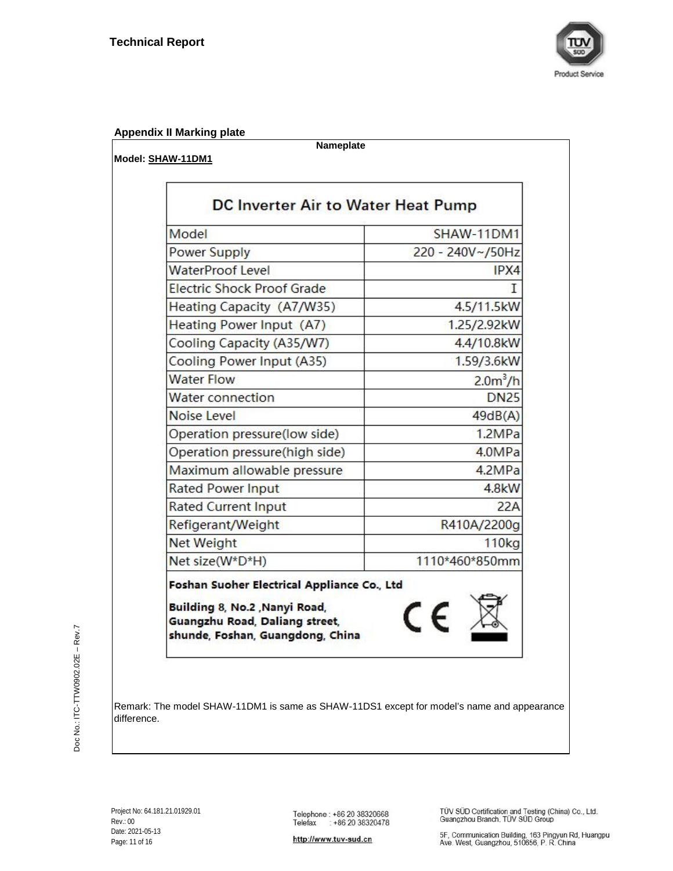

# **Appendix II Marking plate**

**Model: SHAW-11DM1**

**Nameplate**

| Model                             | SHAW-11DM1       |
|-----------------------------------|------------------|
| <b>Power Supply</b>               | 220 - 240V~/50Hz |
| <b>WaterProof Level</b>           | IPX4             |
| <b>Electric Shock Proof Grade</b> |                  |
| Heating Capacity (A7/W35)         | 4.5/11.5kW       |
| Heating Power Input (A7)          | 1.25/2.92kW      |
| Cooling Capacity (A35/W7)         | 4.4/10.8kW       |
| Cooling Power Input (A35)         | 1.59/3.6kW       |
| <b>Water Flow</b>                 | $2.0m^3/h$       |
| <b>Water connection</b>           | <b>DN25</b>      |
| Noise Level                       | 49dB(A)          |
| Operation pressure(low side)      | 1.2MPa           |
| Operation pressure(high side)     | 4.0MPa           |
| Maximum allowable pressure        | 4.2MPa           |
| <b>Rated Power Input</b>          | 4.8kW            |
| <b>Rated Current Input</b>        | 22A              |
| Refigerant/Weight                 | R410A/2200g      |
| Net Weight                        | 110kg            |
| Net size(W*D*H)                   | 1110*460*850mm   |

uliding 8, No.2 ,Nanyi Road, Guangzhu Road, Daliang street, shunde, Foshan, Guangdong, China

Remark: The model SHAW-11DM1 is same as SHAW-11DS1 except for model's name and appearance difference.

http://www.tuv-sud.cn

TÜV SÜD Certification and Testing (China) Co., Ltd.<br>Guangzhou Branch, TÜV SÜD Group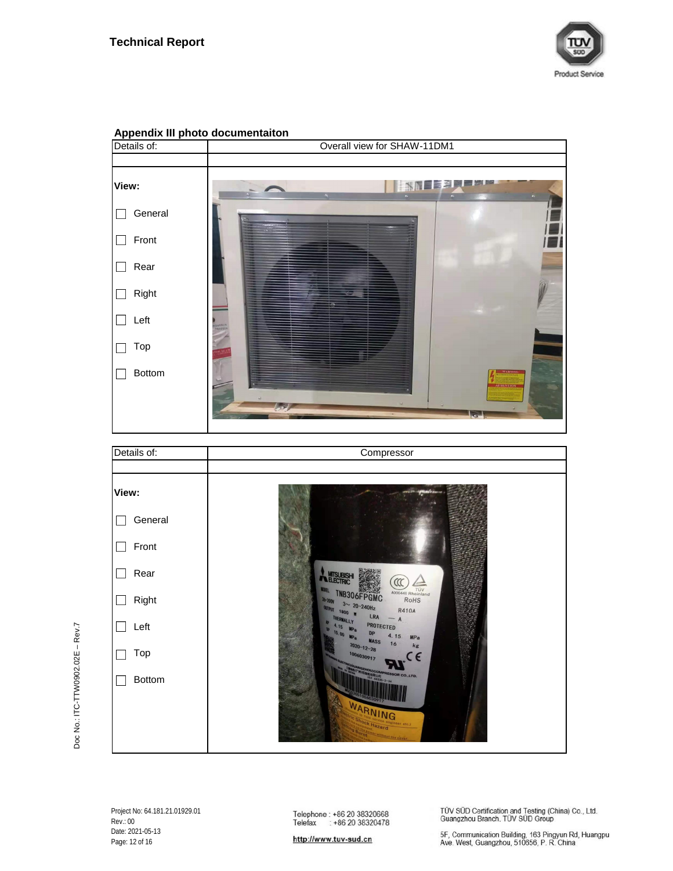



# **Appendix III photo documentaiton**

Doc No.: ITC-TTW0902.02E - Rev.7 Doc No.: ITC-TTW0902.02E – Rev.7

> Project No: 64.181.21.01929.01 Rev.: 00 Date: 2021-05-13 Page: 12 of 16

Telephone: +86 20 38320668<br>Telefax : +86 20 38320478

TÜV SÜD Certification and Testing (China) Co., Ltd.<br>Guangzhou Branch, TÜV SÜD Group

http://www.tuv-sud.cn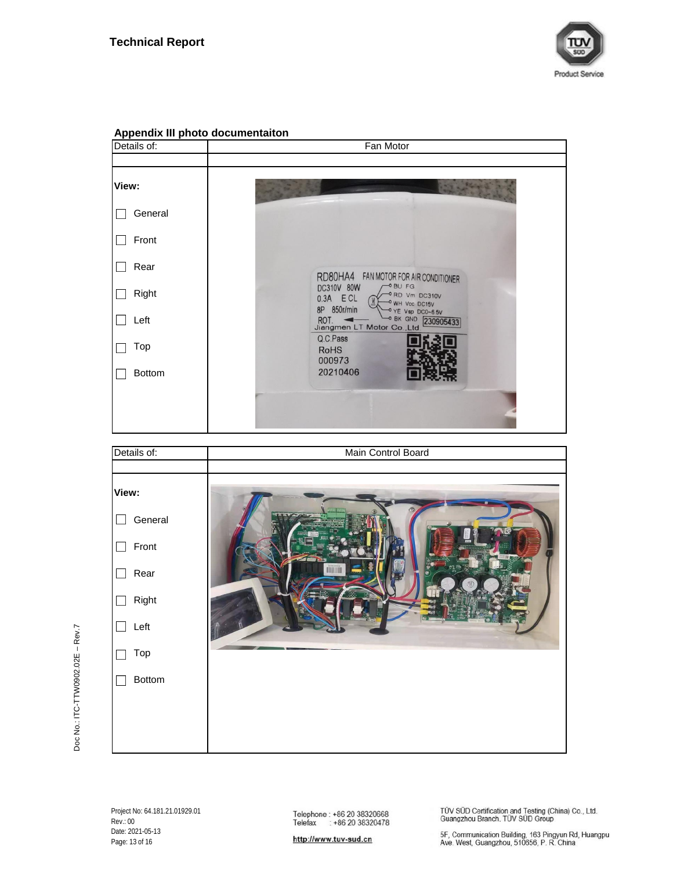

| . .<br>Details of: | Fan Motor                                                                                   |
|--------------------|---------------------------------------------------------------------------------------------|
|                    |                                                                                             |
| View:              |                                                                                             |
| General            |                                                                                             |
| Front              |                                                                                             |
| Rear               | RD80HA4 FAN MOTOR FOR AIR CONDITIONER                                                       |
| Right              | $-0$ BU FG<br>DC310V 80W<br>-ORD Vm DC310V<br>$0.3A$ $ECL$<br>O WH Voc DC15V<br>8P 850r/min |
| Left               | -0 YE Vsp DC0-65V<br>OBK GND 230905433<br>ROT. Jiangmen LT Motor Co., Ltd.                  |
| Top                | Q.C.Pass<br><b>RoHS</b><br>000973                                                           |
| <b>Bottom</b>      | 20210406                                                                                    |
|                    |                                                                                             |
|                    |                                                                                             |
| Details of:        | Main Control Board                                                                          |

## **Appendix III photo documentaiton**



http://www.tuv-sud.cn

TÜV SÜD Certification and Testing (China) Co., Ltd.<br>Guangzhou Branch, TÜV SÜD Group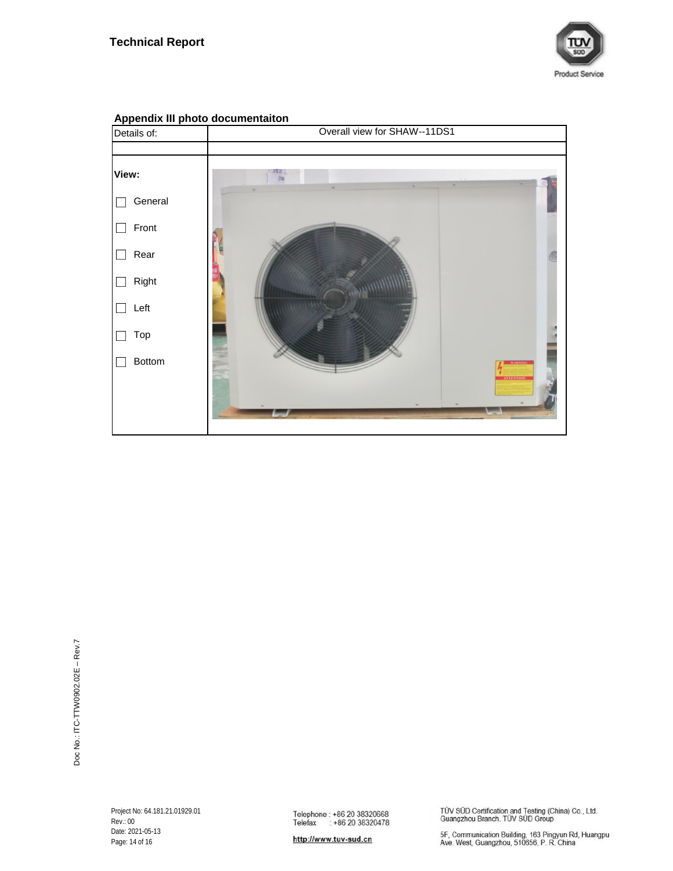



# **Appendix III photo documentaiton**

http://www.tuv-sud.cn

TÜV SÜD Certification and Testing (China) Co., Ltd.<br>Guangzhou Branch, TÜV SÜD Group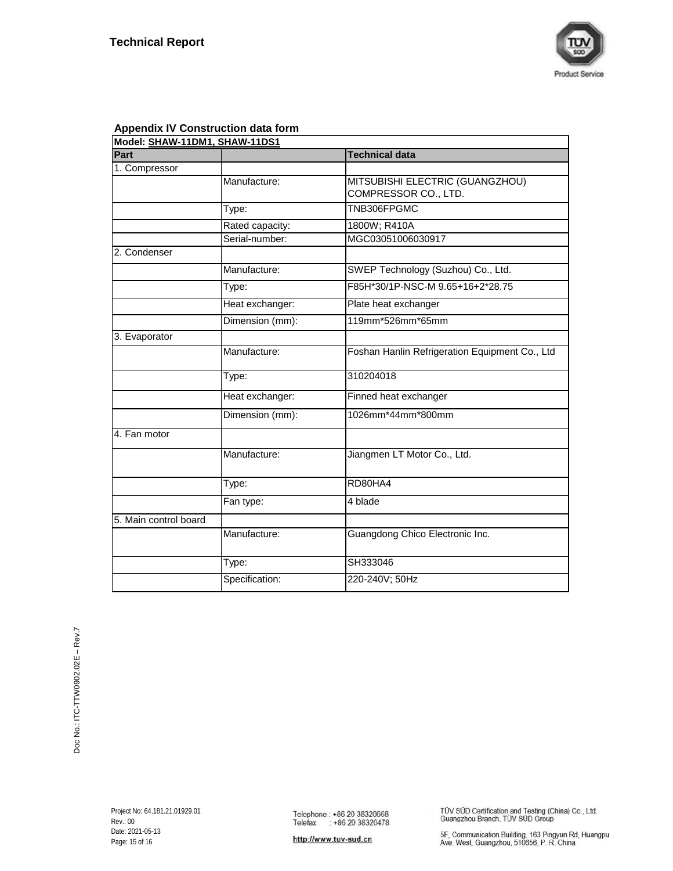

|  | <b>Appendix IV Construction data form</b> |  |
|--|-------------------------------------------|--|
|--|-------------------------------------------|--|

| Model: SHAW-11DM1, SHAW-11DS1 |                 |                                                |
|-------------------------------|-----------------|------------------------------------------------|
| Part                          |                 | <b>Technical data</b>                          |
| 1. Compressor                 |                 |                                                |
|                               | Manufacture:    | MITSUBISHI ELECTRIC (GUANGZHOU)                |
|                               |                 | COMPRESSOR CO., LTD.                           |
|                               | Type:           | TNB306FPGMC                                    |
|                               | Rated capacity: | 1800W; R410A                                   |
|                               | Serial-number:  | MGC03051006030917                              |
| 2. Condenser                  |                 |                                                |
|                               | Manufacture:    | SWEP Technology (Suzhou) Co., Ltd.             |
|                               | Type:           | F85H*30/1P-NSC-M 9.65+16+2*28.75               |
|                               | Heat exchanger: | Plate heat exchanger                           |
|                               | Dimension (mm): | 119mm*526mm*65mm                               |
| 3. Evaporator                 |                 |                                                |
|                               | Manufacture:    | Foshan Hanlin Refrigeration Equipment Co., Ltd |
|                               | Type:           | 310204018                                      |
|                               | Heat exchanger: | Finned heat exchanger                          |
|                               | Dimension (mm): | 1026mm*44mm*800mm                              |
| 4. Fan motor                  |                 |                                                |
|                               | Manufacture:    | Jiangmen LT Motor Co., Ltd.                    |
|                               | Type:           | RD80HA4                                        |
|                               | Fan type:       | 4 blade                                        |
| 5. Main control board         |                 |                                                |
|                               | Manufacture:    | Guangdong Chico Electronic Inc.                |
|                               | Type:           | SH333046                                       |
|                               | Specification:  | 220-240V; 50Hz                                 |

TÜV SÜD Certification and Testing (China) Co., Ltd.<br>Guangzhou Branch, TÜV SÜD Group